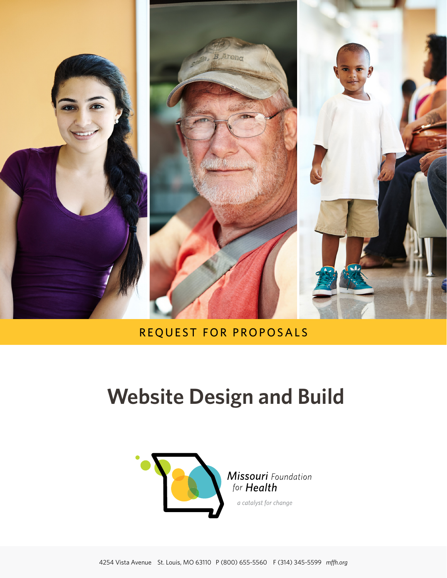

## REQUEST FOR PROPOSALS

# **Website Design and Build**



**Missouri** Foundation for **Health** 

a catalyst for change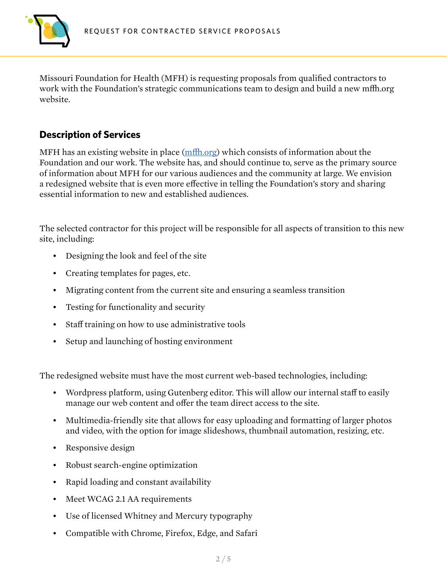

Missouri Foundation for Health (MFH) is requesting proposals from qualified contractors to work with the Foundation's strategic communications team to design and build a new mffh.org website.

#### **Description of Services**

MFH has an existing website in place [\(mffh.org\)](http://mffh.org) which consists of information about the Foundation and our work. The website has, and should continue to, serve as the primary source of information about MFH for our various audiences and the community at large. We envision a redesigned website that is even more effective in telling the Foundation's story and sharing essential information to new and established audiences.

The selected contractor for this project will be responsible for all aspects of transition to this new site, including:

- Designing the look and feel of the site
- Creating templates for pages, etc.
- Migrating content from the current site and ensuring a seamless transition
- Testing for functionality and security
- Staff training on how to use administrative tools
- Setup and launching of hosting environment

The redesigned website must have the most current web-based technologies, including:

- Wordpress platform, using Gutenberg editor. This will allow our internal staff to easily manage our web content and offer the team direct access to the site.
- Multimedia-friendly site that allows for easy uploading and formatting of larger photos and video, with the option for image slideshows, thumbnail automation, resizing, etc.
- Responsive design
- Robust search-engine optimization
- Rapid loading and constant availability
- Meet WCAG 2.1 AA requirements
- Use of licensed Whitney and Mercury typography
- Compatible with Chrome, Firefox, Edge, and Safari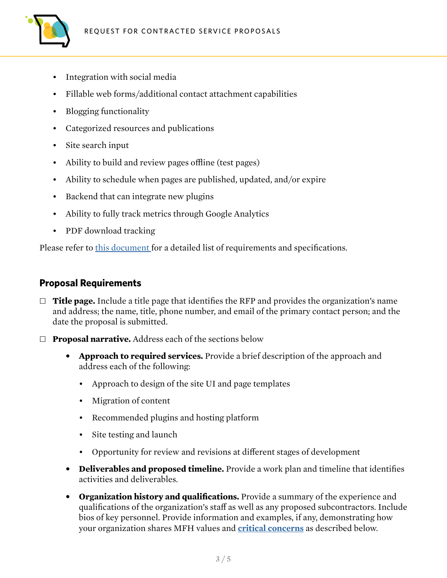

- Integration with social media
- Fillable web forms/additional contact attachment capabilities
- Blogging functionality
- Categorized resources and publications
- Site search input
- Ability to build and review pages offline (test pages)
- Ability to schedule when pages are published, updated, and/or expire
- Backend that can integrate new plugins
- Ability to fully track metrics through Google Analytics
- PDF download tracking

Please refer to [this document](https://mffh.org/wp-content/uploads/2022/05/MFH-Preliminary-Requirements-and-Site-Map.pdf) for a detailed list of requirements and specifications.

#### **Proposal Requirements**

- □ **Title page.** Include a title page that identifies the RFP and provides the organization's name and address; the name, title, phone number, and email of the primary contact person; and the date the proposal is submitted.
- Ȗ **Proposal narrative.** Address each of the sections below
	- **• Approach to required services.** Provide a brief description of the approach and address each of the following:
		- Approach to design of the site UI and page templates
		- Migration of content
		- Recommended plugins and hosting platform
		- Site testing and launch
		- Opportunity for review and revisions at different stages of development
	- **• Deliverables and proposed timeline.** Provide a work plan and timeline that identifies activities and deliverables.
	- **• Organization history and qualifications.** Provide a summary of the experience and qualifications of the organization's staff as well as any proposed subcontractors. Include bios of key personnel. Provide information and examples, if any, demonstrating how your organization shares MFH values and **[critical concerns](#page-4-0)** as described below.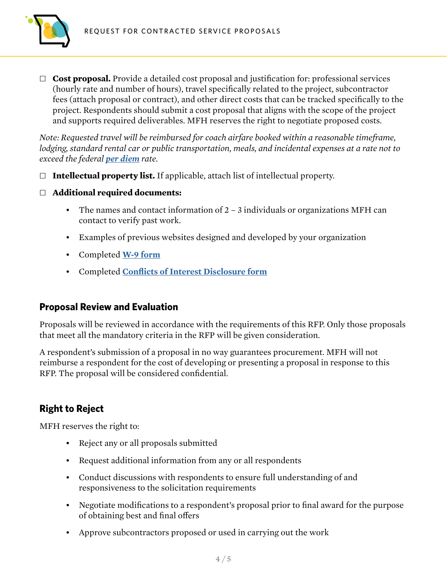

□ **Cost proposal.** Provide a detailed cost proposal and justification for: professional services (hourly rate and number of hours), travel specifically related to the project, subcontractor fees (attach proposal or contract), and other direct costs that can be tracked specifically to the project. Respondents should submit a cost proposal that aligns with the scope of the project and supports required deliverables. MFH reserves the right to negotiate proposed costs.

*Note: Requested travel will be reimbursed for coach airfare booked within a reasonable timeframe, lodging, standard rental car or public transportation, meals, and incidental expenses at a rate not to exceed the federal [per diem](http://www.gsa.gov/portal/category/100120) rate.*

- Ȗ **Intellectual property list.** If applicable, attach list of intellectual property.
- Ȗ **Additional required documents:**
	- The names and contact information of  $2 3$  individuals or organizations MFH can contact to verify past work.
	- Examples of previous websites designed and developed by your organization
	- Completed **[W-9 form](https://www.google.com/url?sa=t&rct=j&q=&esrc=s&source=web&cd=1&ved=0ahUKEwiqrJSE4dLYAhWo6oMKHV7_AVQQFggnMAA&url=https%3A%2F%2Fwww.irs.gov%2Fpub%2Firs-pdf%2Ffw9.pdf&usg=AOvVaw2mPwYuKu3uVwy4_2UnGXWl)**
	- Completed **[Conflicts of Interest Disclosure form](https://mffh.org/wordpress/wp-content/uploads/2019/08/MFH-COI-Disclosure-Contracted-Service.pdf)**

#### **Proposal Review and Evaluation**

Proposals will be reviewed in accordance with the requirements of this RFP. Only those proposals that meet all the mandatory criteria in the RFP will be given consideration.

A respondent's submission of a proposal in no way guarantees procurement. MFH will not reimburse a respondent for the cost of developing or presenting a proposal in response to this RFP. The proposal will be considered confidential.

### **Right to Reject**

MFH reserves the right to:

- Reject any or all proposals submitted
- Request additional information from any or all respondents
- Conduct discussions with respondents to ensure full understanding of and responsiveness to the solicitation requirements
- Negotiate modifications to a respondent's proposal prior to final award for the purpose of obtaining best and final offers
- Approve subcontractors proposed or used in carrying out the work